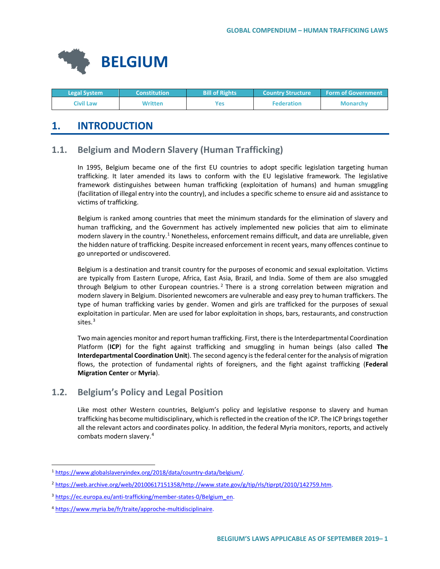

| <b>Legal System</b> | <b>Constitution</b> | <b>Bill of Rights</b> | <b>Country Structure</b> | <b>Form of Government</b> |
|---------------------|---------------------|-----------------------|--------------------------|---------------------------|
| Civil Law           | Written             | Yes                   | <b>Federation</b>        | <b>Monarchy</b>           |

# **1. INTRODUCTION**

# **1.1. Belgium and Modern Slavery (Human Trafficking)**

In 1995, Belgium became one of the first EU countries to adopt specific legislation targeting human trafficking. It later amended its laws to conform with the EU legislative framework. The legislative framework distinguishes between human trafficking (exploitation of humans) and human smuggling (facilitation of illegal entry into the country), and includes a specific scheme to ensure aid and assistance to victims of trafficking.

Belgium is ranked among countries that meet the minimum standards for the elimination of slavery and human trafficking, and the Government has actively implemented new policies that aim to eliminate modern slavery in the country.<sup>[1](#page-0-0)</sup> Nonetheless, enforcement remains difficult, and data are unreliable, given the hidden nature of trafficking. Despite increased enforcement in recent years, many offences continue to go unreported or undiscovered.

Belgium is a destination and transit country for the purposes of economic and sexual exploitation. Victims are typically from Eastern Europe, Africa, East Asia, Brazil, and India. Some of them are also smuggled through Belgium to other European countries.<sup>[2](#page-0-1)</sup> There is a strong correlation between migration and modern slavery in Belgium. Disoriented newcomers are vulnerable and easy prey to human traffickers. The type of human trafficking varies by gender. Women and girls are trafficked for the purposes of sexual exploitation in particular. Men are used for labor exploitation in shops, bars, restaurants, and construction sites.<sup>[3](#page-0-2)</sup>

Two main agencies monitor and report human trafficking. First, there is the Interdepartmental Coordination Platform (**ICP**) for the fight against trafficking and smuggling in human beings (also called **The Interdepartmental Coordination Unit**). The second agency is the federal center for the analysis of migration flows, the protection of fundamental rights of foreigners, and the fight against trafficking (**Federal Migration Center** or **Myria**).

# **1.2. Belgium's Policy and Legal Position**

Like most other Western countries, Belgium's policy and legislative response to slavery and human trafficking has become multidisciplinary, which is reflected in the creation of the ICP. The ICP brings together all the relevant actors and coordinates policy. In addition, the federal Myria monitors, reports, and actively combats modern slavery.[4](#page-0-3)

<span id="page-0-0"></span> <sup>1</sup> [https://www.globalslaveryindex.org/2018/data/country-data/belgium/.](https://www.globalslaveryindex.org/2018/data/country-data/belgium/)

<span id="page-0-1"></span><sup>2</sup> [https://web.archive.org/web/20100617151358/http://www.state.gov/g/tip/rls/tiprpt/2010/142759.htm.](https://web.archive.org/web/20100617151358/http:/www.state.gov/g/tip/rls/tiprpt/2010/142759.htm)

<span id="page-0-2"></span><sup>&</sup>lt;sup>3</sup> [https://ec.europa.eu/anti-trafficking/member-states-0/Belgium\\_en.](https://ec.europa.eu/anti-trafficking/member-states-0/Belgium_en)

<span id="page-0-3"></span><sup>4</sup> [https://www.myria.be/fr/traite/approche-multidisciplinaire.](https://www.myria.be/fr/traite/approche-multidisciplinaire)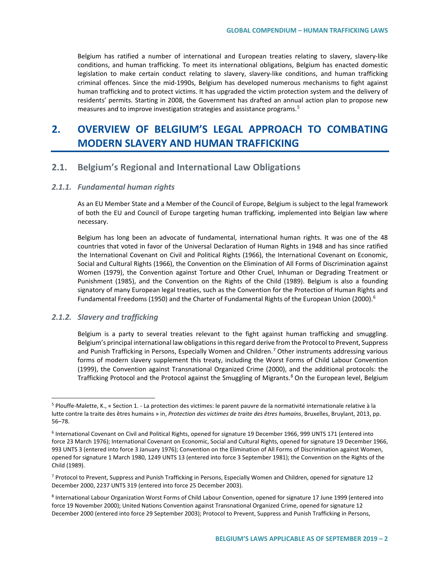Belgium has ratified a number of international and European treaties relating to slavery, slavery-like conditions, and human trafficking. To meet its international obligations, Belgium has enacted domestic legislation to make certain conduct relating to slavery, slavery-like conditions, and human trafficking criminal offences. Since the mid-1990s, Belgium has developed numerous mechanisms to fight against human trafficking and to protect victims. It has upgraded the victim protection system and the delivery of residents' permits. Starting in 2008, the Government has drafted an annual action plan to propose new measures and to improve investigation strategies and assistance programs.[5](#page-1-0)

# **2. OVERVIEW OF BELGIUM'S LEGAL APPROACH TO COMBATING MODERN SLAVERY AND HUMAN TRAFFICKING**

## **2.1. Belgium's Regional and International Law Obligations**

#### *2.1.1. Fundamental human rights*

As an EU Member State and a Member of the Council of Europe, Belgium is subject to the legal framework of both the EU and Council of Europe targeting human trafficking, implemented into Belgian law where necessary.

Belgium has long been an advocate of fundamental, international human rights. It was one of the 48 countries that voted in favor of the Universal Declaration of Human Rights in 1948 and has since ratified the International Covenant on Civil and Political Rights (1966), the International Covenant on Economic, Social and Cultural Rights (1966), the Convention on the Elimination of All Forms of Discrimination against Women (1979), the Convention against Torture and Other Cruel, Inhuman or Degrading Treatment or Punishment (1985), and the Convention on the Rights of the Child (1989). Belgium is also a founding signatory of many European legal treaties, such as the Convention for the Protection of Human Rights and Fundamental Freedoms (1950) and the Charter of Fundamental Rights of the European Union (2000).<sup>6</sup>

#### *2.1.2. Slavery and trafficking*

Belgium is a party to several treaties relevant to the fight against human trafficking and smuggling. Belgium's principal international law obligations in this regard derive from the Protocol to Prevent, Suppress and Punish Trafficking in Persons, Especially Women and Children. [7](#page-1-2) Other instruments addressing various forms of modern slavery supplement this treaty, including the Worst Forms of Child Labour Convention (1999), the Convention against Transnational Organized Crime (2000), and the additional protocols: the Trafficking Protocol and the Protocol against the Smuggling of Migrants.<sup>[8](#page-1-3)</sup> On the European level, Belgium

<span id="page-1-0"></span> <sup>5</sup> Plouffe-Malette, K., « Section 1. - La protection des victimes: le parent pauvre de la normativité internationale relative à la lutte contre la traite des êtres humains » in, *Protection des victimes de traite des êtres humains*, Bruxelles, Bruylant, 2013, pp. 56–78.

<span id="page-1-1"></span><sup>6</sup> International Covenant on Civil and Political Rights, opened for signature 19 December 1966, 999 UNTS 171 (entered into force 23 March 1976); International Covenant on Economic, Social and Cultural Rights, opened for signature 19 December 1966, 993 UNTS 3 (entered into force 3 January 1976); Convention on the Elimination of All Forms of Discrimination against Women, opened for signature 1 March 1980, 1249 UNTS 13 (entered into force 3 September 1981); the Convention on the Rights of the Child (1989).

<span id="page-1-2"></span><sup>7</sup> Protocol to Prevent, Suppress and Punish Trafficking in Persons, Especially Women and Children, opened for signature 12 December 2000, 2237 UNTS 319 (entered into force 25 December 2003).

<span id="page-1-3"></span><sup>8</sup> International Labour Organization Worst Forms of Child Labour Convention, opened for signature 17 June 1999 (entered into force 19 November 2000); United Nations Convention against Transnational Organized Crime, opened for signature 12 December 2000 (entered into force 29 September 2003); Protocol to Prevent, Suppress and Punish Trafficking in Persons,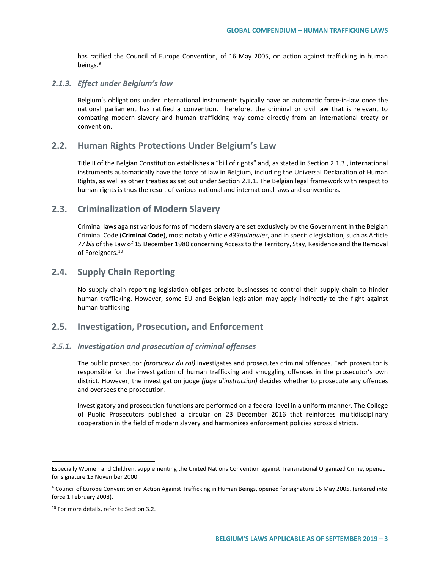has ratified the Council of Europe Convention, of 16 May 2005, on action against trafficking in human beings. [9](#page-2-0)

#### *2.1.3. Effect under Belgium's law*

Belgium's obligations under international instruments typically have an automatic force-in-law once the national parliament has ratified a convention. Therefore, the criminal or civil law that is relevant to combating modern slavery and human trafficking may come directly from an international treaty or convention.

### **2.2. Human Rights Protections Under Belgium's Law**

Title II of the Belgian Constitution establishes a "bill of rights" and, as stated in Section 2.1.3., international instruments automatically have the force of law in Belgium, including the Universal Declaration of Human Rights, as well as other treaties as set out under Section 2.1.1. The Belgian legal framework with respect to human rights is thus the result of various national and international laws and conventions.

### **2.3. Criminalization of Modern Slavery**

Criminal laws against various forms of modern slavery are set exclusively by the Government in the Belgian Criminal Code (**Criminal Code**), most notably Article *433quinquies*, and in specific legislation, such as Article *77 bis* of the Law of 15 December 1980 concerning Access to the Territory, Stay, Residence and the Removal of Foreigners.<sup>[10](#page-2-1)</sup>

### **2.4. Supply Chain Reporting**

No supply chain reporting legislation obliges private businesses to control their supply chain to hinder human trafficking. However, some EU and Belgian legislation may apply indirectly to the fight against human trafficking.

### **2.5. Investigation, Prosecution, and Enforcement**

#### *2.5.1. Investigation and prosecution of criminal offenses*

The public prosecutor *(procureur du roi)* investigates and prosecutes criminal offences. Each prosecutor is responsible for the investigation of human trafficking and smuggling offences in the prosecutor's own district. However, the investigation judge *(juge d'instruction)* decides whether to prosecute any offences and oversees the prosecution.

Investigatory and prosecution functions are performed on a federal level in a uniform manner. The College of Public Prosecutors published a circular on 23 December 2016 that reinforces multidisciplinary cooperation in the field of modern slavery and harmonizes enforcement policies across districts.

 $\overline{a}$ 

Especially Women and Children, supplementing the United Nations Convention against Transnational Organized Crime, opened for signature 15 November 2000.

<span id="page-2-0"></span><sup>9</sup> Council of Europe Convention on Action Against Trafficking in Human Beings, opened for signature 16 May 2005, (entered into force 1 February 2008).

<span id="page-2-1"></span><sup>&</sup>lt;sup>10</sup> For more details, refer to Section 3.2.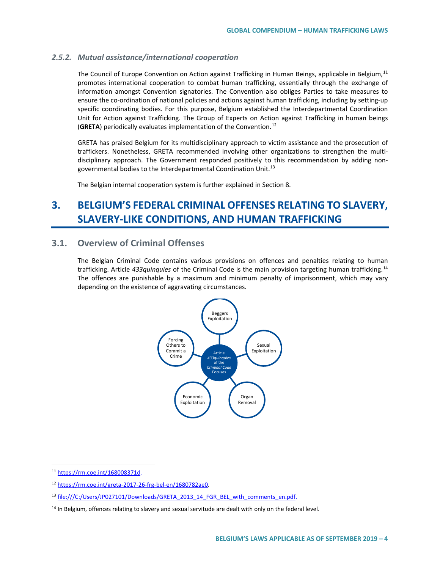#### *2.5.2. Mutual assistance/international cooperation*

The Council of Europe Convention on Action against Trafficking in Human Beings, applicable in Belgium,<sup>[11](#page-3-0)</sup> promotes international cooperation to combat human trafficking, essentially through the exchange of information amongst Convention signatories. The Convention also obliges Parties to take measures to ensure the co-ordination of national policies and actions against human trafficking, including by setting-up specific coordinating bodies. For this purpose, Belgium established the Interdepartmental Coordination Unit for Action against Trafficking. The Group of Experts on Action against Trafficking in human beings (**GRETA**) periodically evaluates implementation of the Convention.[12](#page-3-1)

GRETA has praised Belgium for its multidisciplinary approach to victim assistance and the prosecution of traffickers. Nonetheless, GRETA recommended involving other organizations to strengthen the multidisciplinary approach. The Government responded positively to this recommendation by adding non-governmental bodies to the Interdepartmental Coordination Unit.<sup>[13](#page-3-2)</sup>

The Belgian internal cooperation system is further explained in Section 8.

# **3. BELGIUM'S FEDERAL CRIMINAL OFFENSES RELATING TO SLAVERY, SLAVERY-LIKE CONDITIONS, AND HUMAN TRAFFICKING**

### **3.1. Overview of Criminal Offenses**

The Belgian Criminal Code contains various provisions on offences and penalties relating to human trafficking. Article *433quinquies* of the Criminal Code is the main provision targeting human trafficking.[14](#page-3-3) The offences are punishable by a maximum and minimum penalty of imprisonment, which may vary depending on the existence of aggravating circumstances.



<span id="page-3-0"></span> <sup>11</sup> [https://rm.coe.int/168008371d.](https://rm.coe.int/168008371d)

<span id="page-3-1"></span><sup>12</sup> [https://rm.coe.int/greta-2017-26-frg-bel-en/1680782ae0.](https://rm.coe.int/greta-2017-26-frg-bel-en/1680782ae0)

<span id="page-3-2"></span><sup>&</sup>lt;sup>13</sup> file:///C:/Users/JP027101/Downloads/GRETA\_2013\_14\_FGR\_BEL\_with\_comments\_en.pdf.

<span id="page-3-3"></span><sup>&</sup>lt;sup>14</sup> In Belgium, offences relating to slavery and sexual servitude are dealt with only on the federal level.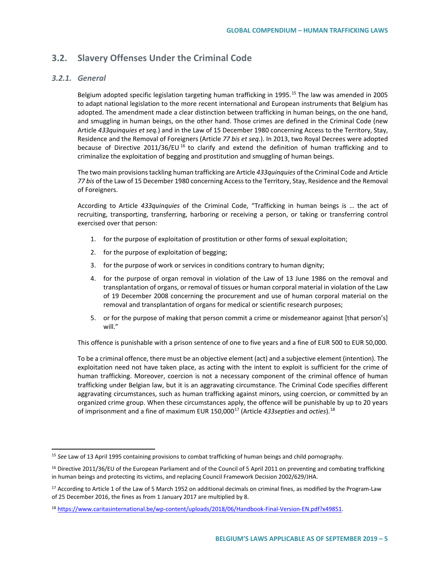# **3.2. Slavery Offenses Under the Criminal Code**

#### *3.2.1. General*

Belgium adopted specific legislation targeting human trafficking in 1995.<sup>[15](#page-4-0)</sup> The law was amended in 2005 to adapt national legislation to the more recent international and European instruments that Belgium has adopted. The amendment made a clear distinction between trafficking in human beings, on the one hand, and smuggling in human beings, on the other hand. Those crimes are defined in the Criminal Code (new Article *433quinquies et seq.*) and in the Law of 15 December 1980 concerning Access to the Territory, Stay, Residence and the Removal of Foreigners (Article *77 bis et seq.*). In 2013, two Royal Decrees were adopted because of Directive 2011/36/EU<sup>[16](#page-4-1)</sup> to clarify and extend the definition of human trafficking and to criminalize the exploitation of begging and prostitution and smuggling of human beings.

The two main provisions tackling human trafficking are Article *433quinquies* of the Criminal Code and Article *77 bis* of the Law of 15 December 1980 concerning Access to the Territory, Stay, Residence and the Removal of Foreigners.

According to Article *433quinquies* of the Criminal Code, "Trafficking in human beings is … the act of recruiting, transporting, transferring, harboring or receiving a person, or taking or transferring control exercised over that person:

- 1. for the purpose of exploitation of prostitution or other forms of sexual exploitation;
- 2. for the purpose of exploitation of begging;
- 3. for the purpose of work or services in conditions contrary to human dignity;
- 4. for the purpose of organ removal in violation of the Law of 13 June 1986 on the removal and transplantation of organs, or removal of tissues or human corporal material in violation of the Law of 19 December 2008 concerning the procurement and use of human corporal material on the removal and transplantation of organs for medical or scientific research purposes;
- 5. or for the purpose of making that person commit a crime or misdemeanor against [that person's] will."

This offence is punishable with a prison sentence of one to five years and a fine of EUR 500 to EUR 50,000.

To be a criminal offence, there must be an objective element (act) and a subjective element (intention). The exploitation need not have taken place, as acting with the intent to exploit is sufficient for the crime of human trafficking. Moreover, coercion is not a necessary component of the criminal offence of human trafficking under Belgian law, but it is an aggravating circumstance. The Criminal Code specifies different aggravating circumstances, such as human trafficking against minors, using coercion, or committed by an organized crime group. When these circumstances apply, the offence will be punishable by up to 20 years of imprisonment and a fine of maximum EUR 150,00[017](#page-4-2) (Article *433septies* and *octies*).[18](#page-4-3)

<span id="page-4-0"></span> <sup>15</sup> *See* Law of 13 April 1995 containing provisions to combat trafficking of human beings and child pornography.

<span id="page-4-1"></span><sup>&</sup>lt;sup>16</sup> Directive 2011/36/EU of the European Parliament and of the Council of 5 April 2011 on preventing and combating trafficking in human beings and protecting its victims, and replacing Council Framework Decision 2002/629/JHA.

<span id="page-4-2"></span> $17$  According to Article 1 of the Law of 5 March 1952 on additional decimals on criminal fines, as modified by the Program-Law of 25 December 2016, the fines as from 1 January 2017 are multiplied by 8.

<span id="page-4-3"></span><sup>18</sup> [https://www.caritasinternational.be/wp-content/uploads/2018/06/Handbook-Final-Version-EN.pdf?x49851.](https://www.caritasinternational.be/wp-content/uploads/2018/06/Handbook-Final-Version-EN.pdf?x49851)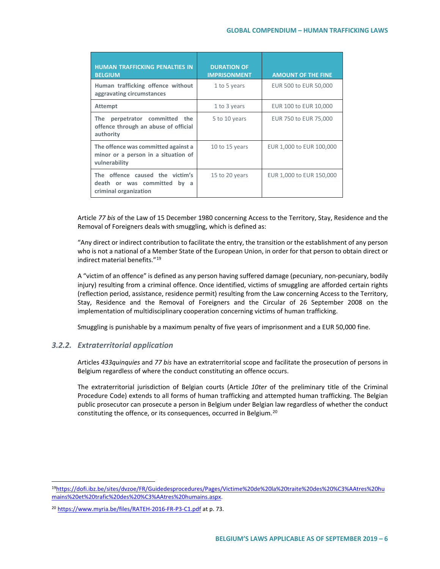| <b>HUMAN TRAFFICKING PENALTIES IN</b><br><b>BELGIUM</b>                                     | <b>DURATION OF</b><br><b>IMPRISONMENT</b> | <b>AMOUNT OF THE FINE</b> |
|---------------------------------------------------------------------------------------------|-------------------------------------------|---------------------------|
| Human trafficking offence without<br>aggravating circumstances                              | 1 to 5 years                              | EUR 500 to EUR 50,000     |
| <b>Attempt</b>                                                                              | 1 to 3 years                              | EUR 100 to EUR 10,000     |
| The<br>perpetrator committed<br>the<br>offence through an abuse of official<br>authority    | 5 to 10 years                             | EUR 750 to EUR 75,000     |
| The offence was committed against a<br>minor or a person in a situation of<br>vulnerability | 10 to 15 years                            | EUR 1,000 to EUR 100,000  |
| The offence caused the victim's<br>death or was committed<br>by a<br>criminal organization  | 15 to 20 years                            | EUR 1,000 to EUR 150,000  |

Article *77 bis* of the Law of 15 December 1980 concerning Access to the Territory, Stay, Residence and the Removal of Foreigners deals with smuggling, which is defined as:

"Any direct or indirect contribution to facilitate the entry, the transition or the establishment of any person who is not a national of a Member State of the European Union, in order for that person to obtain direct or indirect material benefits."[19](#page-5-0)

A "victim of an offence" is defined as any person having suffered damage (pecuniary, non-pecuniary, bodily injury) resulting from a criminal offence. Once identified, victims of smuggling are afforded certain rights (reflection period, assistance, residence permit) resulting from the Law concerning Access to the Territory, Stay, Residence and the Removal of Foreigners and the Circular of 26 September 2008 on the implementation of multidisciplinary cooperation concerning victims of human trafficking.

Smuggling is punishable by a maximum penalty of five years of imprisonment and a EUR 50,000 fine.

### *3.2.2. Extraterritorial application*

Articles *433quinquies* and *77 bis* have an extraterritorial scope and facilitate the prosecution of persons in Belgium regardless of where the conduct constituting an offence occurs.

The extraterritorial jurisdiction of Belgian courts (Article *10ter* of the preliminary title of the Criminal Procedure Code) extends to all forms of human trafficking and attempted human trafficking. The Belgian public prosecutor can prosecute a person in Belgium under Belgian law regardless of whether the conduct constituting the offence, or its consequences, occurred in Belgium.<sup>[20](#page-5-1)</sup>

<span id="page-5-0"></span> <sup>1</sup>[9https://dofi.ibz.be/sites/dvzoe/FR/Guidedesprocedures/Pages/Victime%20de%20la%20traite%20des%20%C3%AAtres%20hu](https://dofi.ibz.be/sites/dvzoe/FR/Guidedesprocedures/Pages/Victime%20de%20la%20traite%20des%20%C3%AAtres%20humains%20et%20trafic%20des%20%C3%AAtres%20humains.aspx) [mains%20et%20trafic%20des%20%C3%AAtres%20humains.aspx.](https://dofi.ibz.be/sites/dvzoe/FR/Guidedesprocedures/Pages/Victime%20de%20la%20traite%20des%20%C3%AAtres%20humains%20et%20trafic%20des%20%C3%AAtres%20humains.aspx)

<span id="page-5-1"></span><sup>&</sup>lt;sup>20</sup> <https://www.myria.be/files/RATEH-2016-FR-P3-C1.pdf> at p. 73.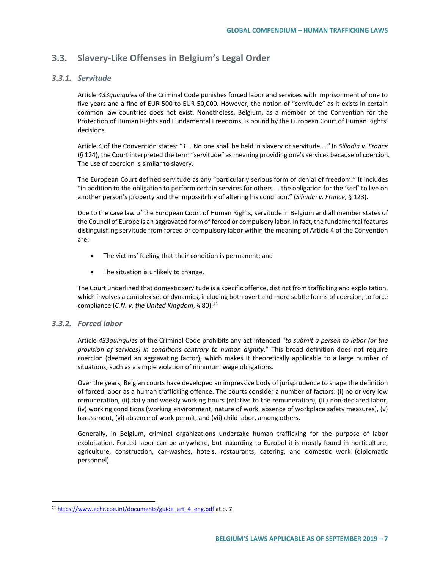# **3.3. Slavery-Like Offenses in Belgium's Legal Order**

#### *3.3.1. Servitude*

Article *433quinquies* of the Criminal Code punishes forced labor and services with imprisonment of one to five years and a fine of EUR 500 to EUR 50,000. However, the notion of "servitude" as it exists in certain common law countries does not exist. Nonetheless, Belgium, as a member of the Convention for the Protection of Human Rights and Fundamental Freedoms, is bound by the European Court of Human Rights' decisions.

Article 4 of the Convention states: "*1...* No one shall be held in slavery or servitude …*"* In *Siliadin v. France* (§ 124), the Court interpreted the term "servitude" as meaning providing one's services because of coercion. The use of coercion is similar to slavery.

The European Court defined servitude as any "particularly serious form of denial of freedom." It includes "in addition to the obligation to perform certain services for others ... the obligation for the 'serf' to live on another person's property and the impossibility of altering his condition." (*Siliadin v. France*, § 123).

Due to the case law of the European Court of Human Rights, servitude in Belgium and all member states of the Council of Europe is an aggravated form of forced or compulsory labor. In fact, the fundamental features distinguishing servitude from forced or compulsory labor within the meaning of Article 4 of the Convention are:

- The victims' feeling that their condition is permanent; and
- The situation is unlikely to change.

The Court underlined that domestic servitude is a specific offence, distinct from trafficking and exploitation, which involves a complex set of dynamics, including both overt and more subtle forms of coercion, to force compliance (*C.N. v. the United Kingdom*, § 80).<sup>[21](#page-6-0)</sup>

### *3.3.2. Forced labor*

Article *433quinquies* of the Criminal Code prohibits any act intended "*to submit a person to labor (or the provision of services) in conditions contrary to human dignity*." This broad definition does not require coercion (deemed an aggravating factor), which makes it theoretically applicable to a large number of situations, such as a simple violation of minimum wage obligations.

Over the years, Belgian courts have developed an impressive body of jurisprudence to shape the definition of forced labor as a human trafficking offence. The courts consider a number of factors: (i) no or very low remuneration, (ii) daily and weekly working hours (relative to the remuneration), (iii) non-declared labor, (iv) working conditions (working environment, nature of work, absence of workplace safety measures), (v) harassment, (vi) absence of work permit, and (vii) child labor, among others.

Generally, in Belgium, criminal organizations undertake human trafficking for the purpose of labor exploitation. Forced labor can be anywhere, but according to Europol it is mostly found in horticulture, agriculture, construction, car-washes, hotels, restaurants, catering, and domestic work (diplomatic personnel).

<span id="page-6-0"></span><sup>&</sup>lt;sup>21</sup> [https://www.echr.coe.int/documents/guide\\_art\\_4\\_eng.pdf](https://www.echr.coe.int/documents/guide_art_4_eng.pdf) at p. 7.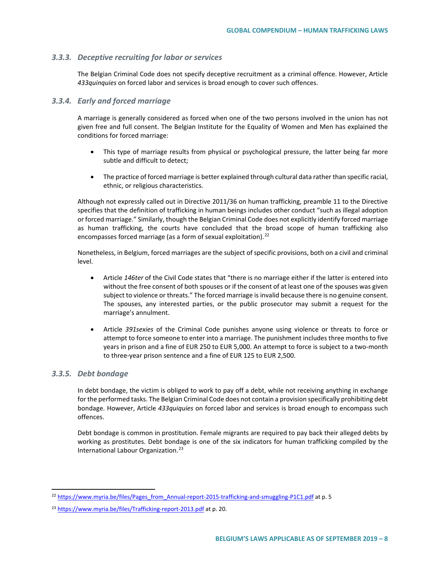#### *3.3.3. Deceptive recruiting for labor or services*

The Belgian Criminal Code does not specify deceptive recruitment as a criminal offence. However, Article *433quinquies* on forced labor and services is broad enough to cover such offences.

#### *3.3.4. Early and forced marriage*

A marriage is generally considered as forced when one of the two persons involved in the union has not given free and full consent. The Belgian Institute for the Equality of Women and Men has explained the conditions for forced marriage:

- This type of marriage results from physical or psychological pressure, the latter being far more subtle and difficult to detect;
- The practice of forced marriage is better explained through cultural data rather than specific racial, ethnic, or religious characteristics.

Although not expressly called out in Directive 2011/36 on human trafficking, preamble 11 to the Directive specifies that the definition of trafficking in human beings includes other conduct "such as illegal adoption or forced marriage." Similarly, though the Belgian Criminal Code does not explicitly identify forced marriage as human trafficking, the courts have concluded that the broad scope of human trafficking also encompasses forced marriage (as a form of sexual exploitation).<sup>[22](#page-7-0)</sup>

Nonetheless, in Belgium, forced marriages are the subject of specific provisions, both on a civil and criminal level.

- Article *146ter* of the Civil Code states that "there is no marriage either if the latter is entered into without the free consent of both spouses or if the consent of at least one of the spouses was given subject to violence or threats." The forced marriage is invalid because there is no genuine consent. The spouses, any interested parties, or the public prosecutor may submit a request for the marriage's annulment.
- Article *391sexies* of the Criminal Code punishes anyone using violence or threats to force or attempt to force someone to enter into a marriage. The punishment includes three months to five years in prison and a fine of EUR 250 to EUR 5,000. An attempt to force is subject to a two-month to three-year prison sentence and a fine of EUR 125 to EUR 2,500.

#### *3.3.5. Debt bondage*

In debt bondage, the victim is obliged to work to pay off a debt, while not receiving anything in exchange for the performed tasks. The Belgian Criminal Code does not contain a provision specifically prohibiting debt bondage. However, Article *433quiquies* on forced labor and services is broad enough to encompass such offences.

Debt bondage is common in prostitution. Female migrants are required to pay back their alleged debts by working as prostitutes. Debt bondage is one of the six indicators for human trafficking compiled by the International Labour Organization.<sup>[23](#page-7-1)</sup>

<span id="page-7-0"></span><sup>&</sup>lt;sup>22</sup> [https://www.myria.be/files/Pages\\_from\\_Annual-report-2015-trafficking-and-smuggling-P1C1.pdf](https://www.myria.be/files/Pages_from_Annual-report-2015-trafficking-and-smuggling-P1C1.pdf) at p. 5

<span id="page-7-1"></span><sup>&</sup>lt;sup>23</sup> <https://www.myria.be/files/Trafficking-report-2013.pdf> at p. 20.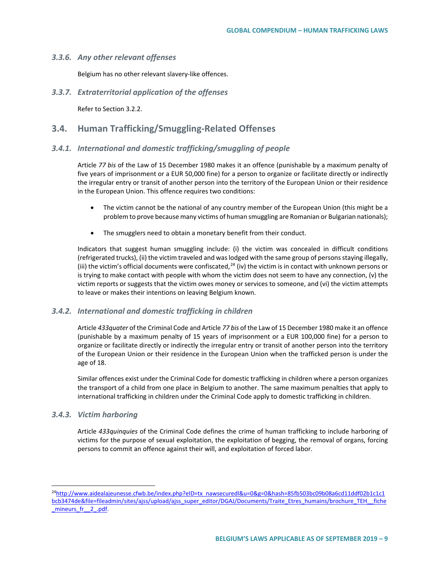#### *3.3.6. Any other relevant offenses*

Belgium has no other relevant slavery-like offences.

*3.3.7. Extraterritorial application of the offenses*

Refer to Section 3.2.2.

### **3.4. Human Trafficking/Smuggling-Related Offenses**

#### *3.4.1. International and domestic trafficking/smuggling of people*

Article *77 bis* of the Law of 15 December 1980 makes it an offence (punishable by a maximum penalty of five years of imprisonment or a EUR 50,000 fine) for a person to organize or facilitate directly or indirectly the irregular entry or transit of another person into the territory of the European Union or their residence in the European Union. This offence requires two conditions:

- The victim cannot be the national of any country member of the European Union (this might be a problem to prove because many victims of human smuggling are Romanian or Bulgarian nationals);
- The smugglers need to obtain a monetary benefit from their conduct.

Indicators that suggest human smuggling include: (i) the victim was concealed in difficult conditions (refrigerated trucks), (ii) the victim traveled and was lodged with the same group of persons staying illegally, (iii) the victim's official documents were confiscated,  $24$  (iv) the victim is in contact with unknown persons or is trying to make contact with people with whom the victim does not seem to have any connection, (v) the victim reports or suggests that the victim owes money or services to someone, and (vi) the victim attempts to leave or makes their intentions on leaving Belgium known.

#### *3.4.2. International and domestic trafficking in children*

Article *433quater* of the Criminal Code and Article *77 bis* of the Law of 15 December 1980 make it an offence (punishable by a maximum penalty of 15 years of imprisonment or a EUR 100,000 fine) for a person to organize or facilitate directly or indirectly the irregular entry or transit of another person into the territory of the European Union or their residence in the European Union when the trafficked person is under the age of 18.

Similar offences exist under the Criminal Code for domestic trafficking in children where a person organizes the transport of a child from one place in Belgium to another. The same maximum penalties that apply to international trafficking in children under the Criminal Code apply to domestic trafficking in children.

#### *3.4.3. Victim harboring*

Article *433quinquies* of the Criminal Code defines the crime of human trafficking to include harboring of victims for the purpose of sexual exploitation, the exploitation of begging, the removal of organs, forcing persons to commit an offence against their will, and exploitation of forced labor.

<span id="page-8-0"></span> <sup>2</sup>[4http://www.aidealajeunesse.cfwb.be/index.php?eID=tx\\_nawsecuredl&u=0&g=0&hash=85fb503bc09b08a6cd11ddf02b1c1c1](http://www.aidealajeunesse.cfwb.be/index.php?eID=tx_nawsecuredl&u=0&g=0&hash=85fb503bc09b08a6cd11ddf02b1c1c1bcb3474de&file=fileadmin/sites/ajss/upload/ajss_super_editor/DGAJ/Documents/Traite_Etres_humains/brochure_TEH__fiche_mineurs_fr__2_.pdf) [bcb3474de&file=fileadmin/sites/ajss/upload/ajss\\_super\\_editor/DGAJ/Documents/Traite\\_Etres\\_humains/brochure\\_TEH\\_\\_fiche](http://www.aidealajeunesse.cfwb.be/index.php?eID=tx_nawsecuredl&u=0&g=0&hash=85fb503bc09b08a6cd11ddf02b1c1c1bcb3474de&file=fileadmin/sites/ajss/upload/ajss_super_editor/DGAJ/Documents/Traite_Etres_humains/brochure_TEH__fiche_mineurs_fr__2_.pdf) mineurs fr 2 .pdf.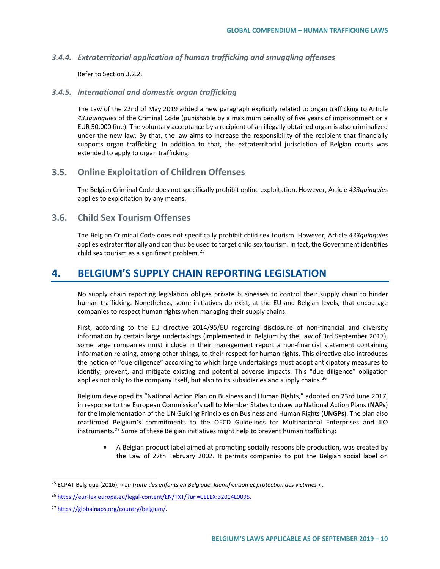#### *3.4.4. Extraterritorial application of human trafficking and smuggling offenses*

Refer to Section 3.2.2.

#### *3.4.5. International and domestic organ trafficking*

The Law of the 22nd of May 2019 added a new paragraph explicitly related to organ trafficking to Article *433quinquies* of the Criminal Code (punishable by a maximum penalty of five years of imprisonment or a EUR 50,000 fine). The voluntary acceptance by a recipient of an illegally obtained organ is also criminalized under the new law. By that, the law aims to increase the responsibility of the recipient that financially supports organ trafficking. In addition to that, the extraterritorial jurisdiction of Belgian courts was extended to apply to organ trafficking.

## **3.5. Online Exploitation of Children Offenses**

The Belgian Criminal Code does not specifically prohibit online exploitation. However, Article *433quinquies* applies to exploitation by any means.

## **3.6. Child Sex Tourism Offenses**

The Belgian Criminal Code does not specifically prohibit child sex tourism. However, Article *433quinquies* applies extraterritorially and can thus be used to target child sex tourism. In fact, the Government identifies child sex tourism as a significant problem.[25](#page-9-0)

# **4. BELGIUM'S SUPPLY CHAIN REPORTING LEGISLATION**

No supply chain reporting legislation obliges private businesses to control their supply chain to hinder human trafficking. Nonetheless, some initiatives do exist, at the EU and Belgian levels, that encourage companies to respect human rights when managing their supply chains.

First, according to the EU directive 2014/95/EU regarding disclosure of non-financial and diversity information by certain large undertakings (implemented in Belgium by the Law of 3rd September 2017), some large companies must include in their management report a non-financial statement containing information relating, among other things, to their respect for human rights. This directive also introduces the notion of "due diligence" according to which large undertakings must adopt anticipatory measures to identify, prevent, and mitigate existing and potential adverse impacts. This "due diligence" obligation applies not only to the company itself, but also to its subsidiaries and supply chains.<sup>[26](#page-9-1)</sup>

Belgium developed its "National Action Plan on Business and Human Rights," adopted on 23rd June 2017, in response to the European Commission's call to Member States to draw up National Action Plans (**NAPs**) for the implementation of the UN Guiding Principles on Business and Human Rights (**UNGPs**). The plan also reaffirmed Belgium's commitments to the OECD Guidelines for Multinational Enterprises and ILO instruments.<sup>[27](#page-9-2)</sup> Some of these Belgian initiatives might help to prevent human trafficking:

• A Belgian product label aimed at promoting socially responsible production, was created by the Law of 27th February 2002. It permits companies to put the Belgian social label on

<span id="page-9-0"></span> <sup>25</sup> ECPAT Belgique (2016), « *La traite des enfants en Belgique. Identification et protection des victimes* ».

<span id="page-9-1"></span><sup>26</sup> [https://eur-lex.europa.eu/legal-content/EN/TXT/?uri=CELEX:32014L0095.](https://eur-lex.europa.eu/legal-content/EN/TXT/?uri=CELEX:32014L0095)

<span id="page-9-2"></span><sup>27</sup> [https://globalnaps.org/country/belgium/.](https://globalnaps.org/country/belgium/)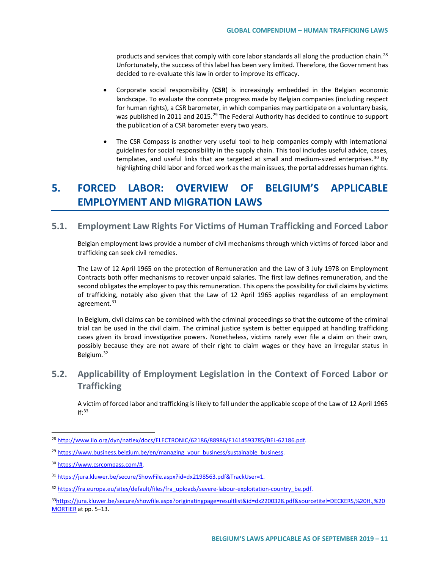products and services that comply with core labor standards all along the production chain.<sup>[28](#page-10-0)</sup> Unfortunately, the success of this label has been very limited. Therefore, the Government has decided to re-evaluate this law in order to improve its efficacy.

- Corporate social responsibility (**CSR**) is increasingly embedded in the Belgian economic landscape. To evaluate the concrete progress made by Belgian companies (including respect for human rights), a CSR barometer, in which companies may participate on a voluntary basis, was published in 2011 and 2015.<sup>[29](#page-10-1)</sup> The Federal Authority has decided to continue to support the publication of a CSR barometer every two years.
- The CSR Compass is another very useful tool to help companies comply with international guidelines for social responsibility in the supply chain. This tool includes useful advice, cases, templates, and useful links that are targeted at small and medium-sized enterprises.<sup>[30](#page-10-2)</sup> By highlighting child labor and forced work as the main issues, the portal addresses human rights.

# **5. FORCED LABOR: OVERVIEW OF BELGIUM'S APPLICABLE EMPLOYMENT AND MIGRATION LAWS**

# **5.1. Employment Law Rights For Victims of Human Trafficking and Forced Labor**

Belgian employment laws provide a number of civil mechanisms through which victims of forced labor and trafficking can seek civil remedies.

The Law of 12 April 1965 on the protection of Remuneration and the Law of 3 July 1978 on Employment Contracts both offer mechanisms to recover unpaid salaries. The first law defines remuneration, and the second obligates the employer to pay this remuneration. This opens the possibility for civil claims by victims of trafficking, notably also given that the Law of 12 April 1965 applies regardless of an employment agreement.<sup>[31](#page-10-3)</sup>

In Belgium, civil claims can be combined with the criminal proceedings so that the outcome of the criminal trial can be used in the civil claim. The criminal justice system is better equipped at handling trafficking cases given its broad investigative powers. Nonetheless, victims rarely ever file a claim on their own, possibly because they are not aware of their right to claim wages or they have an irregular status in Belgium.[32](#page-10-4)

# **5.2. Applicability of Employment Legislation in the Context of Forced Labor or Trafficking**

A victim of forced labor and trafficking is likely to fall under the applicable scope of the Law of 12 April 1965 if:[33](#page-10-5)

<span id="page-10-0"></span> <sup>28</sup> [http://www.ilo.org/dyn/natlex/docs/ELECTRONIC/62186/88986/F1414593785/BEL-62186.pdf.](http://www.ilo.org/dyn/natlex/docs/ELECTRONIC/62186/88986/F1414593785/BEL-62186.pdf)

<span id="page-10-1"></span><sup>&</sup>lt;sup>29</sup> [https://www.business.belgium.be/en/managing\\_your\\_business/sustainable\\_business.](https://www.business.belgium.be/en/managing_your_business/sustainable_business)

<span id="page-10-2"></span><sup>30</sup> [https://www.csrcompass.com/#.](https://www.csrcompass.com/)

<span id="page-10-3"></span><sup>31</sup> [https://jura.kluwer.be/secure/ShowFile.aspx?id=dx2198563.pdf&TrackUser=1.](https://jura.kluwer.be/secure/ShowFile.aspx?id=dx2198563.pdf&TrackUser=1)

<span id="page-10-4"></span><sup>32</sup> [https://fra.europa.eu/sites/default/files/fra\\_uploads/severe-labour-exploitation-country\\_be.pdf.](https://fra.europa.eu/sites/default/files/fra_uploads/severe-labour-exploitation-country_be.pdf)

<span id="page-10-5"></span><sup>3</sup>[3https://jura.kluwer.be/secure/showfile.aspx?originatingpage=resultlist&id=dx2200328.pdf&sourcetitel=DECKERS,%20H.,%20](https://jura.kluwer.be/secure/showfile.aspx?originatingpage=resultlist&id=dx2200328.pdf&sourcetitel=DECKERS,%20H.,%20MORTIER) [MORTIER](https://jura.kluwer.be/secure/showfile.aspx?originatingpage=resultlist&id=dx2200328.pdf&sourcetitel=DECKERS,%20H.,%20MORTIER) at pp. 5–13.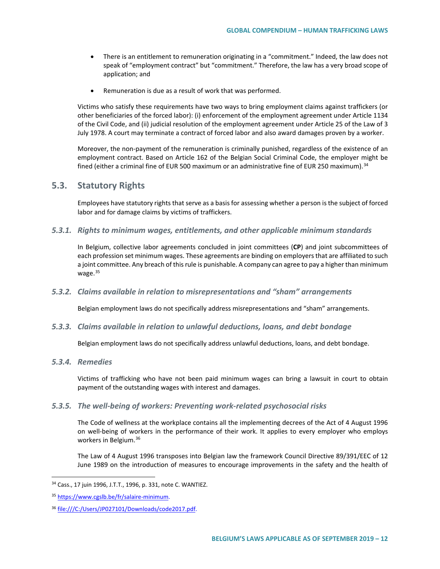- There is an entitlement to remuneration originating in a "commitment." Indeed, the law does not speak of "employment contract" but "commitment." Therefore, the law has a very broad scope of application; and
- Remuneration is due as a result of work that was performed.

Victims who satisfy these requirements have two ways to bring employment claims against traffickers (or other beneficiaries of the forced labor): (i) enforcement of the employment agreement under Article 1134 of the Civil Code, and (ii) judicial resolution of the employment agreement under Article 25 of the Law of 3 July 1978. A court may terminate a contract of forced labor and also award damages proven by a worker.

Moreover, the non-payment of the remuneration is criminally punished, regardless of the existence of an employment contract. Based on Article 162 of the Belgian Social Criminal Code, the employer might be fined (either a criminal fine of EUR 500 maximum or an administrative fine of EUR 250 maximum).<sup>[34](#page-11-0)</sup>

### **5.3. Statutory Rights**

Employees have statutory rights that serve as a basis for assessing whether a person is the subject of forced labor and for damage claims by victims of traffickers.

*5.3.1. Rights to minimum wages, entitlements, and other applicable minimum standards*

In Belgium, collective labor agreements concluded in joint committees (**CP**) and joint subcommittees of each profession set minimum wages. These agreements are binding on employers that are affiliated to such a joint committee. Any breach of this rule is punishable. A company can agree to pay a higher than minimum wage.<sup>[35](#page-11-1)</sup>

#### *5.3.2. Claims available in relation to misrepresentations and "sham" arrangements*

Belgian employment laws do not specifically address misrepresentations and "sham" arrangements.

#### *5.3.3. Claims available in relation to unlawful deductions, loans, and debt bondage*

Belgian employment laws do not specifically address unlawful deductions, loans, and debt bondage.

#### *5.3.4. Remedies*

Victims of trafficking who have not been paid minimum wages can bring a lawsuit in court to obtain payment of the outstanding wages with interest and damages.

#### *5.3.5. The well-being of workers: Preventing work-related psychosocial risks*

The Code of wellness at the workplace contains all the implementing decrees of the Act of 4 August 1996 on well-being of workers in the performance of their work. It applies to every employer who employs workers in Belgium.[36](#page-11-2)

The Law of 4 August 1996 transposes into Belgian law the framework Council Directive 89/391/EEC of 12 June 1989 on the introduction of measures to encourage improvements in the safety and the health of

<span id="page-11-0"></span> <sup>34</sup> Cass., 17 juin 1996, J.T.T., 1996, p. 331, note C. WANTIEZ.

<span id="page-11-1"></span><sup>35</sup> [https://www.cgslb.be/fr/salaire-minimum.](https://www.cgslb.be/fr/salaire-minimum)

<span id="page-11-2"></span><sup>&</sup>lt;sup>36</sup> file:///C:/Users/JP027101/Downloads/code2017.pdf.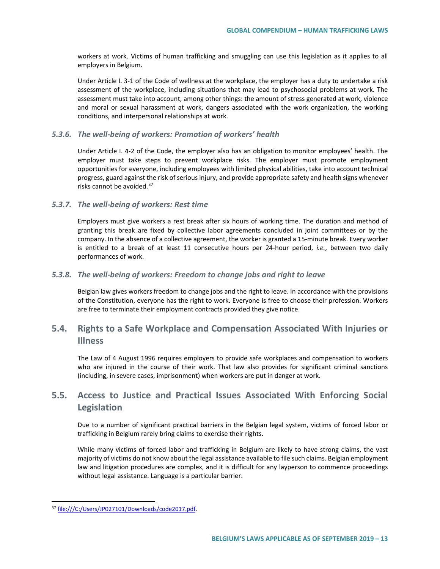workers at work. Victims of human trafficking and smuggling can use this legislation as it applies to all employers in Belgium.

Under Article I. 3-1 of the Code of wellness at the workplace, the employer has a duty to undertake a risk assessment of the workplace, including situations that may lead to psychosocial problems at work. The assessment must take into account, among other things: the amount of stress generated at work, violence and moral or sexual harassment at work, dangers associated with the work organization, the working conditions, and interpersonal relationships at work.

#### *5.3.6. The well-being of workers: Promotion of workers' health*

Under Article I. 4-2 of the Code, the employer also has an obligation to monitor employees' health. The employer must take steps to prevent workplace risks. The employer must promote employment opportunities for everyone, including employees with limited physical abilities, take into account technical progress, guard against the risk of serious injury, and provide appropriate safety and health signs whenever risks cannot be avoided.<sup>[37](#page-12-0)</sup>

#### *5.3.7. The well-being of workers: Rest time*

Employers must give workers a rest break after six hours of working time. The duration and method of granting this break are fixed by collective labor agreements concluded in joint committees or by the company. In the absence of a collective agreement, the worker is granted a 15-minute break. Every worker is entitled to a break of at least 11 consecutive hours per 24-hour period, *i.e.*, between two daily performances of work.

#### *5.3.8. The well-being of workers: Freedom to change jobs and right to leave*

Belgian law gives workers freedom to change jobs and the right to leave. In accordance with the provisions of the Constitution, everyone has the right to work. Everyone is free to choose their profession. Workers are free to terminate their employment contracts provided they give notice.

# **5.4. Rights to a Safe Workplace and Compensation Associated With Injuries or Illness**

The Law of 4 August 1996 requires employers to provide safe workplaces and compensation to workers who are injured in the course of their work. That law also provides for significant criminal sanctions (including, in severe cases, imprisonment) when workers are put in danger at work.

# **5.5. Access to Justice and Practical Issues Associated With Enforcing Social Legislation**

Due to a number of significant practical barriers in the Belgian legal system, victims of forced labor or trafficking in Belgium rarely bring claims to exercise their rights.

While many victims of forced labor and trafficking in Belgium are likely to have strong claims, the vast majority of victims do not know about the legal assistance available to file such claims. Belgian employment law and litigation procedures are complex, and it is difficult for any layperson to commence proceedings without legal assistance. Language is a particular barrier.

<span id="page-12-0"></span> <sup>37</sup> file:///C:/Users/JP027101/Downloads/code2017.pdf.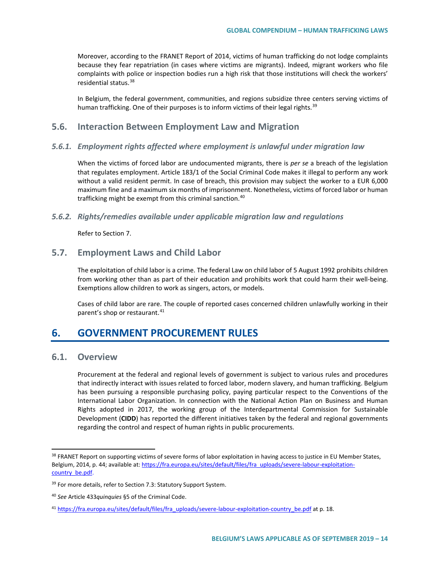Moreover, according to the FRANET Report of 2014, victims of human trafficking do not lodge complaints because they fear repatriation (in cases where victims are migrants). Indeed, migrant workers who file complaints with police or inspection bodies run a high risk that those institutions will check the workers' residential status.<sup>[38](#page-13-0)</sup>

In Belgium, the federal government, communities, and regions subsidize three centers serving victims of human trafficking. One of their purposes is to inform victims of their legal rights.<sup>[39](#page-13-1)</sup>

## **5.6. Interaction Between Employment Law and Migration**

#### *5.6.1. Employment rights affected where employment is unlawful under migration law*

When the victims of forced labor are undocumented migrants, there is *per se* a breach of the legislation that regulates employment. Article 183/1 of the Social Criminal Code makes it illegal to perform any work without a valid resident permit. In case of breach, this provision may subject the worker to a EUR 6,000 maximum fine and a maximum six months of imprisonment. Nonetheless, victims of forced labor or human trafficking might be exempt from this criminal sanction.<sup>[40](#page-13-2)</sup>

#### *5.6.2. Rights/remedies available under applicable migration law and regulations*

Refer to Section 7.

### **5.7. Employment Laws and Child Labor**

The exploitation of child labor is a crime. The federal Law on child labor of 5 August 1992 prohibits children from working other than as part of their education and prohibits work that could harm their well-being. Exemptions allow children to work as singers, actors, or models.

Cases of child labor are rare. The couple of reported cases concerned children unlawfully working in their parent's shop or restaurant.<sup>[41](#page-13-3)</sup>

# **6. GOVERNMENT PROCUREMENT RULES**

# **6.1. Overview**

Procurement at the federal and regional levels of government is subject to various rules and procedures that indirectly interact with issues related to forced labor, modern slavery, and human trafficking. Belgium has been pursuing a responsible purchasing policy, paying particular respect to the Conventions of the International Labor Organization. In connection with the National Action Plan on Business and Human Rights adopted in 2017, the working group of the Interdepartmental Commission for Sustainable Development (**CIDD**) has reported the different initiatives taken by the federal and regional governments regarding the control and respect of human rights in public procurements.

<span id="page-13-0"></span><sup>&</sup>lt;sup>38</sup> FRANET Report on supporting victims of severe forms of labor exploitation in having access to justice in EU Member States, Belgium, 2014, p. 44; available at[: https://fra.europa.eu/sites/default/files/fra\\_uploads/severe-labour-exploitation](https://fra.europa.eu/sites/default/files/fra_uploads/severe-labour-exploitation-country_be.pdf)[country\\_be.pdf.](https://fra.europa.eu/sites/default/files/fra_uploads/severe-labour-exploitation-country_be.pdf)

<span id="page-13-1"></span><sup>&</sup>lt;sup>39</sup> For more details, refer to Section 7.3: Statutory Support System.

<span id="page-13-2"></span><sup>40</sup> *See* Article 433*quinquies* §5 of the Criminal Code.

<span id="page-13-3"></span><sup>41</sup> [https://fra.europa.eu/sites/default/files/fra\\_uploads/severe-labour-exploitation-country\\_be.pdf](https://fra.europa.eu/sites/default/files/fra_uploads/severe-labour-exploitation-country_be.pdf) at p. 18.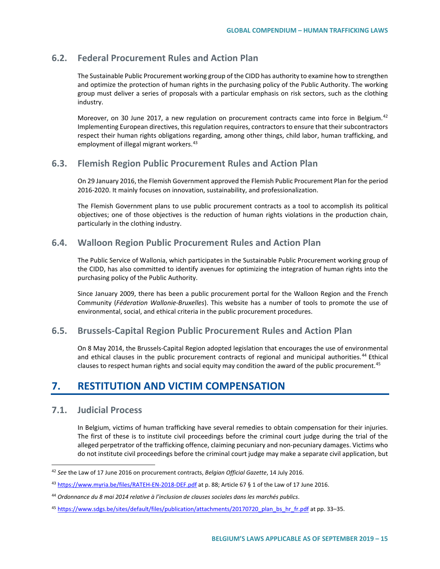# **6.2. Federal Procurement Rules and Action Plan**

The Sustainable Public Procurement working group of the CIDD has authority to examine how to strengthen and optimize the protection of human rights in the purchasing policy of the Public Authority. The working group must deliver a series of proposals with a particular emphasis on risk sectors, such as the clothing industry.

Moreover, on 30 June 2017, a new regulation on procurement contracts came into force in Belgium.<sup>[42](#page-14-0)</sup> Implementing European directives, this regulation requires, contractors to ensure that their subcontractors respect their human rights obligations regarding, among other things, child labor, human trafficking, and employment of illegal migrant workers.<sup>[43](#page-14-1)</sup>

## **6.3. Flemish Region Public Procurement Rules and Action Plan**

On 29 January 2016, the Flemish Government approved the Flemish Public Procurement Plan for the period 2016-2020. It mainly focuses on innovation, sustainability, and professionalization.

The Flemish Government plans to use public procurement contracts as a tool to accomplish its political objectives; one of those objectives is the reduction of human rights violations in the production chain, particularly in the clothing industry.

# **6.4. Walloon Region Public Procurement Rules and Action Plan**

The Public Service of Wallonia, which participates in the Sustainable Public Procurement working group of the CIDD, has also committed to identify avenues for optimizing the integration of human rights into the purchasing policy of the Public Authority.

Since January 2009, there has been a public procurement portal for the Walloon Region and the French Community (*Féderation Wallonie-Bruxelles*). This website has a number of tools to promote the use of environmental, social, and ethical criteria in the public procurement procedures.

## **6.5. Brussels-Capital Region Public Procurement Rules and Action Plan**

On 8 May 2014, the Brussels-Capital Region adopted legislation that encourages the use of environmental and ethical clauses in the public procurement contracts of regional and municipal authorities.<sup>[44](#page-14-2)</sup> Ethical clauses to respect human rights and social equity may condition the award of the public procurement.<sup>[45](#page-14-3)</sup>

# **7. RESTITUTION AND VICTIM COMPENSATION**

## **7.1. Judicial Process**

In Belgium, victims of human trafficking have several remedies to obtain compensation for their injuries. The first of these is to institute civil proceedings before the criminal court judge during the trial of the alleged perpetrator of the trafficking offence, claiming pecuniary and non-pecuniary damages. Victims who do not institute civil proceedings before the criminal court judge may make a separate civil application, but

<span id="page-14-0"></span> <sup>42</sup> *See* the Law of 17 June 2016 on procurement contracts, *Belgian Official Gazette*, 14 July 2016.

<span id="page-14-1"></span><sup>43</sup> <https://www.myria.be/files/RATEH-EN-2018-DEF.pdf> at p. 88; Article 67 § 1 of the Law of 17 June 2016.

<span id="page-14-2"></span><sup>44</sup> *Ordonnance du 8 mai 2014 relative à l'inclusion de clauses sociales dans les marchés publics*.

<span id="page-14-3"></span><sup>45</sup> [https://www.sdgs.be/sites/default/files/publication/attachments/20170720\\_plan\\_bs\\_hr\\_fr.pdf](https://www.sdgs.be/sites/default/files/publication/attachments/20170720_plan_bs_hr_fr.pdf) at pp. 33–35.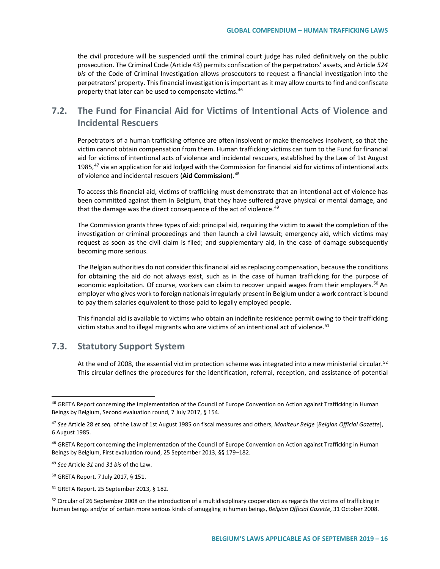the civil procedure will be suspended until the criminal court judge has ruled definitively on the public prosecution. The Criminal Code (Article 43) permits confiscation of the perpetrators' assets, and Article *524 bis* of the Code of Criminal Investigation allows prosecutors to request a financial investigation into the perpetrators' property. This financial investigation is important as it may allow courts to find and confiscate property that later can be used to compensate victims.<sup>[46](#page-15-0)</sup>

# **7.2. The Fund for Financial Aid for Victims of Intentional Acts of Violence and Incidental Rescuers**

Perpetrators of a human trafficking offence are often insolvent or make themselves insolvent, so that the victim cannot obtain compensation from them. Human trafficking victims can turn to the Fund for financial aid for victims of intentional acts of violence and incidental rescuers, established by the Law of 1st August 1985, $47$  via an application for aid lodged with the Commission for financial aid for victims of intentional acts of violence and incidental rescuers (**Aid Commission**).[48](#page-15-2)

To access this financial aid, victims of trafficking must demonstrate that an intentional act of violence has been committed against them in Belgium, that they have suffered grave physical or mental damage, and that the damage was the direct consequence of the act of violence.<sup>[49](#page-15-3)</sup>

The Commission grants three types of aid: principal aid, requiring the victim to await the completion of the investigation or criminal proceedings and then launch a civil lawsuit; emergency aid, which victims may request as soon as the civil claim is filed; and supplementary aid, in the case of damage subsequently becoming more serious.

The Belgian authorities do not consider this financial aid as replacing compensation, because the conditions for obtaining the aid do not always exist, such as in the case of human trafficking for the purpose of economic exploitation. Of course, workers can claim to recover unpaid wages from their employers.<sup>[50](#page-15-4)</sup> An employer who gives work to foreign nationals irregularly present in Belgium under a work contract is bound to pay them salaries equivalent to those paid to legally employed people.

This financial aid is available to victims who obtain an indefinite residence permit owing to their trafficking victim status and to illegal migrants who are victims of an intentional act of violence.<sup>[51](#page-15-5)</sup>

## **7.3. Statutory Support System**

At the end of 2008, the essential victim protection scheme was integrated into a new ministerial circular.<sup>[52](#page-15-6)</sup> This circular defines the procedures for the identification, referral, reception, and assistance of potential

<span id="page-15-0"></span><sup>&</sup>lt;sup>46</sup> GRETA Report concerning the implementation of the Council of Europe Convention on Action against Trafficking in Human Beings by Belgium, Second evaluation round, 7 July 2017, § 154.

<span id="page-15-1"></span><sup>47</sup> *See* Article 28 *et seq.* of the Law of 1st August 1985 on fiscal measures and others, *Moniteur Belge* [*Belgian Official Gazette*], 6 August 1985.

<span id="page-15-2"></span><sup>&</sup>lt;sup>48</sup> GRETA Report concerning the implementation of the Council of Europe Convention on Action against Trafficking in Human Beings by Belgium, First evaluation round, 25 September 2013, §§ 179–182.

<span id="page-15-3"></span><sup>49</sup> *See* Article *31* and *31 bis* of the Law.

<span id="page-15-4"></span><sup>50</sup> GRETA Report, 7 July 2017, § 151.

<span id="page-15-5"></span><sup>51</sup> GRETA Report, 25 September 2013, § 182.

<span id="page-15-6"></span> $52$  Circular of 26 September 2008 on the introduction of a multidisciplinary cooperation as regards the victims of trafficking in human beings and/or of certain more serious kinds of smuggling in human beings, *Belgian Official Gazette*, 31 October 2008.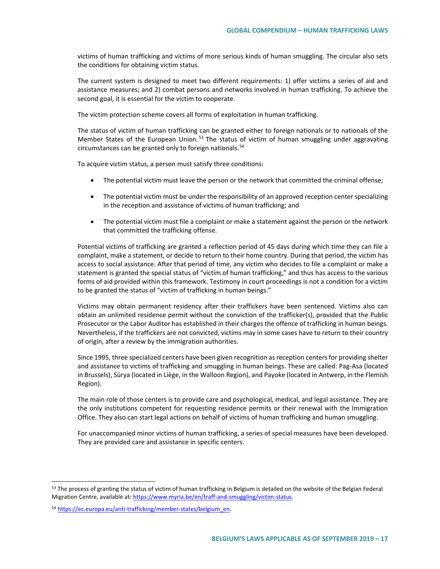victims of human trafficking and victims of more serious kinds of human smuggling. The circular also sets the conditions for obtaining victim status.

The current system is designed to meet two different requirements: 1) offer victims a series of aid and assistance measures; and 2) combat persons and networks involved in human trafficking. To achieve the second goal, it is essential for the victim to cooperate.

The victim protection scheme covers all forms of exploitation in human trafficking.

The status of victim of human trafficking can be granted either to foreign nationals or to nationals of the Member States of the European Union.<sup>[53](#page-16-0)</sup> The status of victim of human smuggling under aggravating circumstances can be granted only to foreign nationals.[54](#page-16-1)

To acquire victim status, a person must satisfy three conditions:

- The potential victim must leave the person or the network that committed the criminal offense;
- The potential victim must be under the responsibility of an approved reception center specializing in the reception and assistance of victims of human trafficking; and
- The potential victim must file a complaint or make a statement against the person or the network that committed the trafficking offense.

Potential victims of trafficking are granted a reflection period of 45 days during which time they can file a complaint, make a statement, or decide to return to their home country. During that period, the victim has access to social assistance. After that period of time, any victim who decides to file a complaint or make a statement is granted the special status of "victim of human trafficking," and thus has access to the various forms of aid provided within this framework. Testimony in court proceedings is not a condition for a victim to be granted the status of "victim of trafficking in human beings."

Victims may obtain permanent residency after their traffickers have been sentenced. Victims also can obtain an unlimited residence permit without the conviction of the trafficker(s), provided that the Public Prosecutor or the Labor Auditor has established in their charges the offence of trafficking in human beings. Nevertheless, if the traffickers are not convicted, victims may in some cases have to return to their country of origin, after a review by the immigration authorities.

Since 1995, three specialized centers have been given recognition as reception centers for providing shelter and assistance to victims of trafficking and smuggling in human beings. These are called: Pag-Asa (located in Brussels), Sürya (located in Liège, in the Walloon Region), and Payoke (located in Antwerp, in the Flemish Region).

The main role of those centers is to provide care and psychological, medical, and legal assistance. They are the only institutions competent for requesting residence permits or their renewal with the Immigration Office. They also can start legal actions on behalf of victims of human trafficking and human smuggling.

For unaccompanied minor victims of human trafficking, a series of special measures have been developed. They are provided care and assistance in specific centers.

<span id="page-16-0"></span><sup>&</sup>lt;sup>53</sup> The process of granting the status of victim of human trafficking in Belgium is detailed on the website of the Belgian Federal Migration Centre, available at[: https://www.myria.be/en/traff-and-smuggling/victim-status.](https://www.myria.be/en/traff-and-smuggling/victim-status)

<span id="page-16-1"></span><sup>54</sup> [https://ec.europa.eu/anti-trafficking/member-states/belgium\\_en.](https://ec.europa.eu/anti-trafficking/member-states/belgium_en)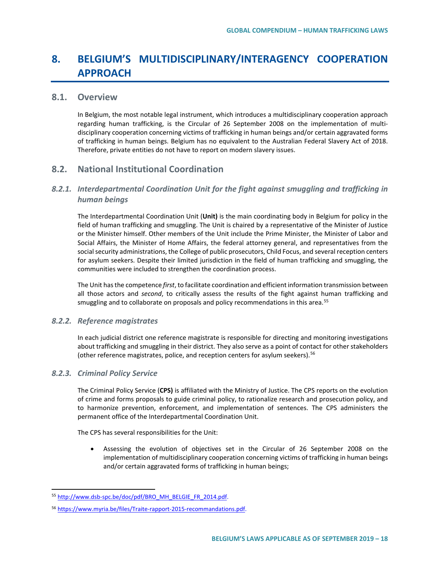# **8. BELGIUM'S MULTIDISCIPLINARY/INTERAGENCY COOPERATION APPROACH**

### **8.1. Overview**

In Belgium, the most notable legal instrument, which introduces a multidisciplinary cooperation approach regarding human trafficking, is the Circular of 26 September 2008 on the implementation of multidisciplinary cooperation concerning victims of trafficking in human beings and/or certain aggravated forms of trafficking in human beings. Belgium has no equivalent to the Australian Federal Slavery Act of 2018. Therefore, private entities do not have to report on modern slavery issues.

## **8.2. National Institutional Coordination**

### *8.2.1. Interdepartmental Coordination Unit for the fight against smuggling and trafficking in human beings*

The Interdepartmental Coordination Unit (**Unit)** is the main coordinating body in Belgium for policy in the field of human trafficking and smuggling. The Unit is chaired by a representative of the Minister of Justice or the Minister himself. Other members of the Unit include the Prime Minister, the Minister of Labor and Social Affairs, the Minister of Home Affairs, the federal attorney general, and representatives from the social security administrations, the College of public prosecutors, Child Focus, and several reception centers for asylum seekers. Despite their limited jurisdiction in the field of human trafficking and smuggling, the communities were included to strengthen the coordination process.

The Unit has the competence *first*, to facilitate coordination and efficient information transmission between all those actors and *second*, to critically assess the results of the fight against human trafficking and smuggling and to collaborate on proposals and policy recommendations in this area.<sup>[55](#page-17-0)</sup>

#### *8.2.2. Reference magistrates*

In each judicial district one reference magistrate is responsible for directing and monitoring investigations about trafficking and smuggling in their district. They also serve as a point of contact for other stakeholders (other reference magistrates, police, and reception centers for asylum seekers).<sup>[56](#page-17-1)</sup>

#### *8.2.3. Criminal Policy Service*

The Criminal Policy Service (**CPS)** is affiliated with the Ministry of Justice. The CPS reports on the evolution of crime and forms proposals to guide criminal policy, to rationalize research and prosecution policy, and to harmonize prevention, enforcement, and implementation of sentences. The CPS administers the permanent office of the Interdepartmental Coordination Unit.

The CPS has several responsibilities for the Unit:

• Assessing the evolution of objectives set in the Circular of 26 September 2008 on the implementation of multidisciplinary cooperation concerning victims of trafficking in human beings and/or certain aggravated forms of trafficking in human beings;

<span id="page-17-0"></span><sup>55</sup> [http://www.dsb-spc.be/doc/pdf/BRO\\_MH\\_BELGIE\\_FR\\_2014.pdf.](http://www.dsb-spc.be/doc/pdf/BRO_MH_BELGIE_FR_2014.pdf)

<span id="page-17-1"></span><sup>56</sup> [https://www.myria.be/files/Traite-rapport-2015-recommandations.pdf.](https://www.myria.be/files/Traite-rapport-2015-recommandations.pdf)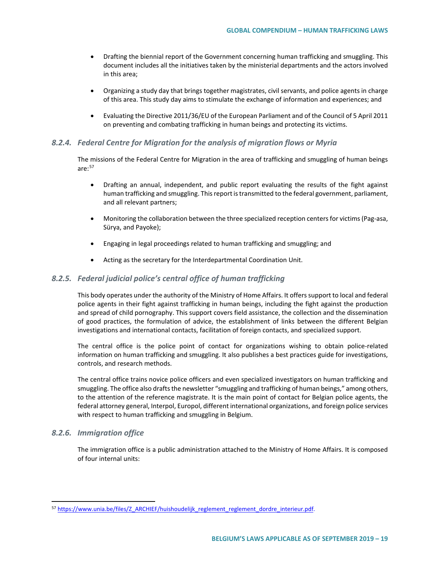- Drafting the biennial report of the Government concerning human trafficking and smuggling. This document includes all the initiatives taken by the ministerial departments and the actors involved in this area;
- Organizing a study day that brings together magistrates, civil servants, and police agents in charge of this area. This study day aims to stimulate the exchange of information and experiences; and
- Evaluating the Directive 2011/36/EU of the European Parliament and of the Council of 5 April 2011 on preventing and combating trafficking in human beings and protecting its victims.

#### *8.2.4. Federal Centre for Migration for the analysis of migration flows or Myria*

The missions of the Federal Centre for Migration in the area of trafficking and smuggling of human beings are: $57$ 

- Drafting an annual, independent, and public report evaluating the results of the fight against human trafficking and smuggling. This report is transmitted to the federal government, parliament, and all relevant partners;
- Monitoring the collaboration between the three specialized reception centers for victims (Pag-asa, Sürya, and Payoke);
- Engaging in legal proceedings related to human trafficking and smuggling; and
- Acting as the secretary for the Interdepartmental Coordination Unit.

#### *8.2.5. Federal judicial police's central office of human trafficking*

This body operates under the authority of the Ministry of Home Affairs. It offers support to local and federal police agents in their fight against trafficking in human beings, including the fight against the production and spread of child pornography. This support covers field assistance, the collection and the dissemination of good practices, the formulation of advice, the establishment of links between the different Belgian investigations and international contacts, facilitation of foreign contacts, and specialized support.

The central office is the police point of contact for organizations wishing to obtain police-related information on human trafficking and smuggling. It also publishes a best practices guide for investigations, controls, and research methods.

The central office trains novice police officers and even specialized investigators on human trafficking and smuggling. The office also drafts the newsletter "smuggling and trafficking of human beings," among others, to the attention of the reference magistrate. It is the main point of contact for Belgian police agents, the federal attorney general, Interpol, Europol, different international organizations, and foreign police services with respect to human trafficking and smuggling in Belgium.

#### *8.2.6. Immigration office*

The immigration office is a public administration attached to the Ministry of Home Affairs. It is composed of four internal units:

<span id="page-18-0"></span><sup>57</sup> [https://www.unia.be/files/Z\\_ARCHIEF/huishoudelijk\\_reglement\\_reglement\\_dordre\\_interieur.pdf.](https://www.unia.be/files/Z_ARCHIEF/huishoudelijk_reglement_reglement_dordre_interieur.pdf)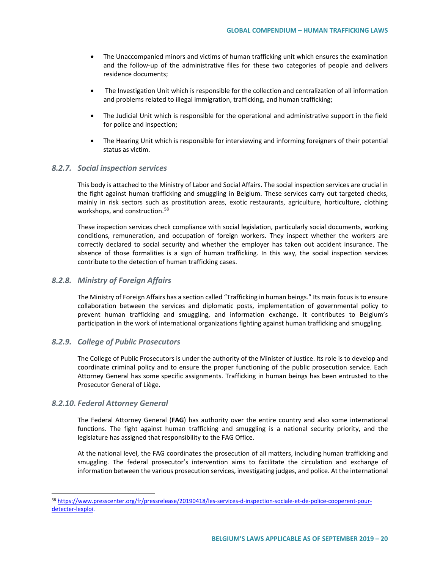- The Unaccompanied minors and victims of human trafficking unit which ensures the examination and the follow-up of the administrative files for these two categories of people and delivers residence documents;
- The Investigation Unit which is responsible for the collection and centralization of all information and problems related to illegal immigration, trafficking, and human trafficking;
- The Judicial Unit which is responsible for the operational and administrative support in the field for police and inspection;
- The Hearing Unit which is responsible for interviewing and informing foreigners of their potential status as victim.

#### *8.2.7. Social inspection services*

This body is attached to the Ministry of Labor and Social Affairs. The social inspection services are crucial in the fight against human trafficking and smuggling in Belgium. These services carry out targeted checks, mainly in risk sectors such as prostitution areas, exotic restaurants, agriculture, horticulture, clothing workshops, and construction.<sup>[58](#page-19-0)</sup>

These inspection services check compliance with social legislation, particularly social documents, working conditions, remuneration, and occupation of foreign workers. They inspect whether the workers are correctly declared to social security and whether the employer has taken out accident insurance. The absence of those formalities is a sign of human trafficking. In this way, the social inspection services contribute to the detection of human trafficking cases.

#### *8.2.8. Ministry of Foreign Affairs*

The Ministry of Foreign Affairs has a section called "Trafficking in human beings." Its main focus is to ensure collaboration between the services and diplomatic posts, implementation of governmental policy to prevent human trafficking and smuggling, and information exchange. It contributes to Belgium's participation in the work of international organizations fighting against human trafficking and smuggling.

#### *8.2.9. College of Public Prosecutors*

The College of Public Prosecutors is under the authority of the Minister of Justice. Its role is to develop and coordinate criminal policy and to ensure the proper functioning of the public prosecution service. Each Attorney General has some specific assignments. Trafficking in human beings has been entrusted to the Prosecutor General of Liège.

#### *8.2.10. Federal Attorney General*

The Federal Attorney General (**FAG**) has authority over the entire country and also some international functions. The fight against human trafficking and smuggling is a national security priority, and the legislature has assigned that responsibility to the FAG Office.

At the national level, the FAG coordinates the prosecution of all matters, including human trafficking and smuggling. The federal prosecutor's intervention aims to facilitate the circulation and exchange of information between the various prosecution services, investigating judges, and police. At the international

<span id="page-19-0"></span> <sup>58</sup> [https://www.presscenter.org/fr/pressrelease/20190418/les-services-d-inspection-sociale-et-de-police-cooperent-pour](https://www.presscenter.org/fr/pressrelease/20190418/les-services-d-inspection-sociale-et-de-police-cooperent-pour-detecter-lexploi)[detecter-lexploi.](https://www.presscenter.org/fr/pressrelease/20190418/les-services-d-inspection-sociale-et-de-police-cooperent-pour-detecter-lexploi)